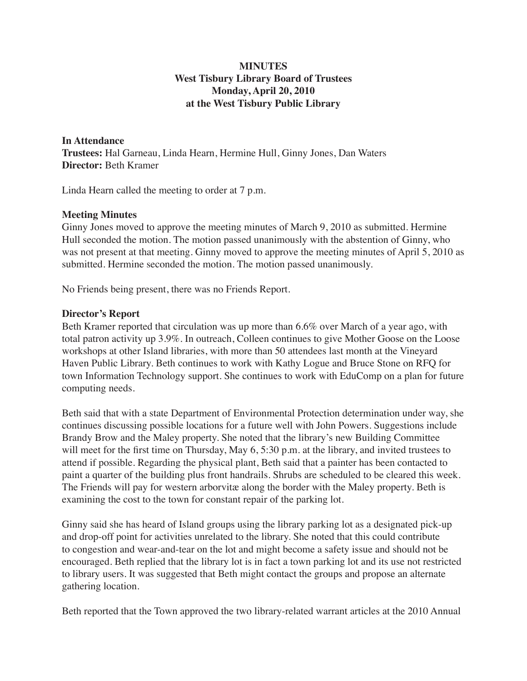# **MINUTES West Tisbury Library Board of Trustees Monday, April 20, 2010 at the West Tisbury Public Library**

**In Attendance Trustees:** Hal Garneau, Linda Hearn, Hermine Hull, Ginny Jones, Dan Waters **Director:** Beth Kramer

Linda Hearn called the meeting to order at 7 p.m.

# **Meeting Minutes**

Ginny Jones moved to approve the meeting minutes of March 9, 2010 as submitted. Hermine Hull seconded the motion. The motion passed unanimously with the abstention of Ginny, who was not present at that meeting. Ginny moved to approve the meeting minutes of April 5, 2010 as submitted. Hermine seconded the motion. The motion passed unanimously.

No Friends being present, there was no Friends Report.

# **Director's Report**

Beth Kramer reported that circulation was up more than 6.6% over March of a year ago, with total patron activity up 3.9%. In outreach, Colleen continues to give Mother Goose on the Loose workshops at other Island libraries, with more than 50 attendees last month at the Vineyard Haven Public Library. Beth continues to work with Kathy Logue and Bruce Stone on RFQ for town Information Technology support. She continues to work with EduComp on a plan for future computing needs.

Beth said that with a state Department of Environmental Protection determination under way, she continues discussing possible locations for a future well with John Powers. Suggestions include Brandy Brow and the Maley property. She noted that the library's new Building Committee will meet for the first time on Thursday, May 6, 5:30 p.m. at the library, and invited trustees to attend if possible. Regarding the physical plant, Beth said that a painter has been contacted to paint a quarter of the building plus front handrails. Shrubs are scheduled to be cleared this week. The Friends will pay for western arborvitæ along the border with the Maley property. Beth is examining the cost to the town for constant repair of the parking lot.

Ginny said she has heard of Island groups using the library parking lot as a designated pick-up and drop-off point for activities unrelated to the library. She noted that this could contribute to congestion and wear-and-tear on the lot and might become a safety issue and should not be encouraged. Beth replied that the library lot is in fact a town parking lot and its use not restricted to library users. It was suggested that Beth might contact the groups and propose an alternate gathering location.

Beth reported that the Town approved the two library-related warrant articles at the 2010 Annual